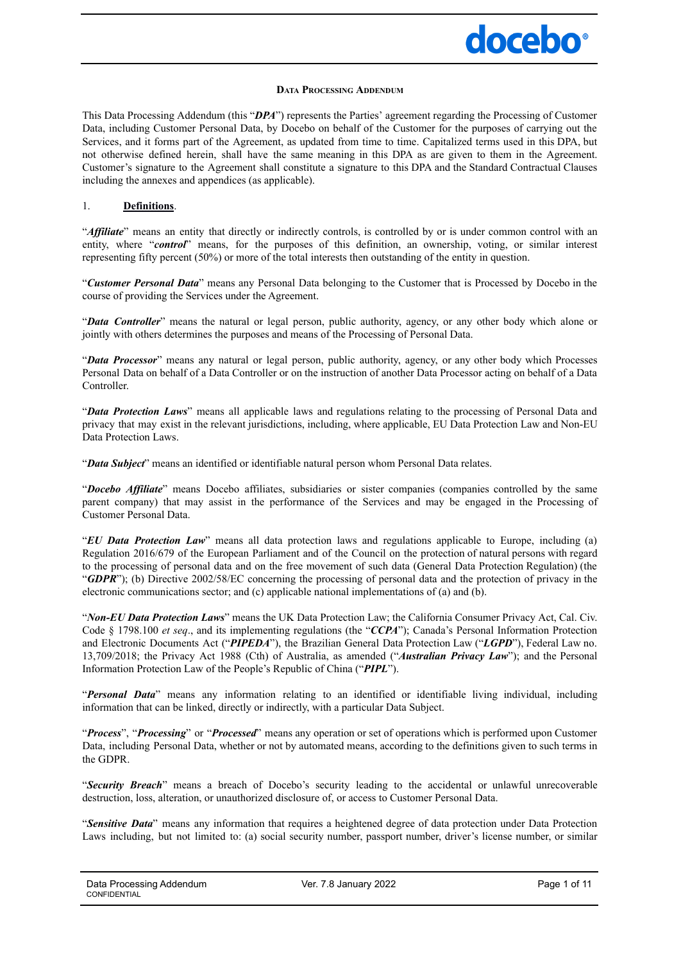## docebo<sup>®</sup>

#### **DATA PROCESSING ADDENDUM**

This Data Processing Addendum (this "*DPA*") represents the Parties' agreement regarding the Processing of Customer Data, including Customer Personal Data, by Docebo on behalf of the Customer for the purposes of carrying out the Services, and it forms part of the Agreement, as updated from time to time. Capitalized terms used in this DPA, but not otherwise defined herein, shall have the same meaning in this DPA as are given to them in the Agreement. Customer's signature to the Agreement shall constitute a signature to this DPA and the Standard Contractual Clauses including the annexes and appendices (as applicable).

#### 1. **Definitions**.

"*Affiliate*" means an entity that directly or indirectly controls, is controlled by or is under common control with an entity, where "*control*" means, for the purposes of this definition, an ownership, voting, or similar interest representing fifty percent (50%) or more of the total interests then outstanding of the entity in question.

"*Customer Personal Data*" means any Personal Data belonging to the Customer that is Processed by Docebo in the course of providing the Services under the Agreement.

"*Data Controller*" means the natural or legal person, public authority, agency, or any other body which alone or jointly with others determines the purposes and means of the Processing of Personal Data.

"*Data Processor*" means any natural or legal person, public authority, agency, or any other body which Processes Personal Data on behalf of a Data Controller or on the instruction of another Data Processor acting on behalf of a Data **Controller** 

"*Data Protection Laws*" means all applicable laws and regulations relating to the processing of Personal Data and privacy that may exist in the relevant jurisdictions, including, where applicable, EU Data Protection Law and Non-EU Data Protection Laws.

"*Data Subject*" means an identified or identifiable natural person whom Personal Data relates.

"*Docebo Af iliate*" means Docebo affiliates, subsidiaries or sister companies (companies controlled by the same parent company) that may assist in the performance of the Services and may be engaged in the Processing of Customer Personal Data.

"*EU Data Protection Law*" means all data protection laws and regulations applicable to Europe, including (a) Regulation 2016/679 of the European Parliament and of the Council on the protection of natural persons with regard to the processing of personal data and on the free movement of such data (General Data Protection Regulation) (the "*GDPR*"); (b) Directive 2002/58/EC concerning the processing of personal data and the protection of privacy in the electronic communications sector; and (c) applicable national implementations of (a) and (b).

"*Non-EU Data Protection Laws*" means the UK Data Protection Law; the California Consumer Privacy Act, Cal. Civ. Code § 1798.100 *et seq*., and its implementing regulations (the "*CCPA*"); Canada's Personal Information Protection and Electronic Documents Act ("*PIPEDA*"), the Brazilian General Data Protection Law ("*LGPD*"), Federal Law no. 13,709/2018; the Privacy Act 1988 (Cth) of Australia, as amended ("*Australian Privacy Law*"); and the Personal Information Protection Law of the People's Republic of China ("*PIPL*").

"*Personal Data*" means any information relating to an identified or identifiable living individual, including information that can be linked, directly or indirectly, with a particular Data Subject.

"*Process*", "*Processing*" or "*Processed*" means any operation or set of operations which is performed upon Customer Data, including Personal Data, whether or not by automated means, according to the definitions given to such terms in the GDPR.

"*Security Breach*" means a breach of Docebo's security leading to the accidental or unlawful unrecoverable destruction, loss, alteration, or unauthorized disclosure of, or access to Customer Personal Data.

"*Sensitive Data*" means any information that requires a heightened degree of data protection under Data Protection Laws including, but not limited to: (a) social security number, passport number, driver's license number, or similar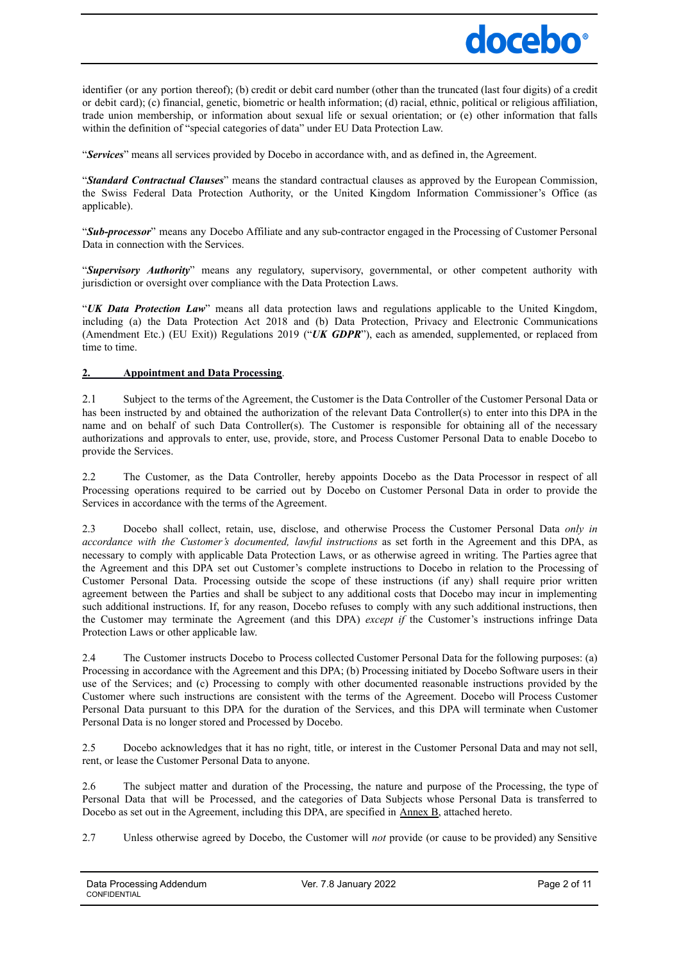

identifier (or any portion thereof); (b) credit or debit card number (other than the truncated (last four digits) of a credit or debit card); (c) financial, genetic, biometric or health information; (d) racial, ethnic, political or religious affiliation, trade union membership, or information about sexual life or sexual orientation; or (e) other information that falls within the definition of "special categories of data" under EU Data Protection Law.

"*Services*" means all services provided by Docebo in accordance with, and as defined in, the Agreement.

"*Standard Contractual Clauses*" means the standard contractual clauses as approved by the European Commission, the Swiss Federal Data Protection Authority, or the United Kingdom Information Commissioner's Office (as applicable).

"*Sub-processor*" means any Docebo Affiliate and any sub-contractor engaged in the Processing of Customer Personal Data in connection with the Services.

"*Supervisory Authority*" means any regulatory, supervisory, governmental, or other competent authority with jurisdiction or oversight over compliance with the Data Protection Laws.

"*UK Data Protection Law*" means all data protection laws and regulations applicable to the United Kingdom, including (a) the Data Protection Act 2018 and (b) Data Protection, Privacy and Electronic Communications (Amendment Etc.) (EU Exit)) Regulations 2019 ("*UK GDPR*"), each as amended, supplemented, or replaced from time to time.

## **2. Appointment and Data Processing**.

2.1 Subject to the terms of the Agreement, the Customer is the Data Controller of the Customer Personal Data or has been instructed by and obtained the authorization of the relevant Data Controller(s) to enter into this DPA in the name and on behalf of such Data Controller(s). The Customer is responsible for obtaining all of the necessary authorizations and approvals to enter, use, provide, store, and Process Customer Personal Data to enable Docebo to provide the Services.

2.2 The Customer, as the Data Controller, hereby appoints Docebo as the Data Processor in respect of all Processing operations required to be carried out by Docebo on Customer Personal Data in order to provide the Services in accordance with the terms of the Agreement.

2.3 Docebo shall collect, retain, use, disclose, and otherwise Process the Customer Personal Data *only in accordance with the Customer's documented, lawful instructions* as set forth in the Agreement and this DPA, as necessary to comply with applicable Data Protection Laws, or as otherwise agreed in writing. The Parties agree that the Agreement and this DPA set out Customer's complete instructions to Docebo in relation to the Processing of Customer Personal Data. Processing outside the scope of these instructions (if any) shall require prior written agreement between the Parties and shall be subject to any additional costs that Docebo may incur in implementing such additional instructions. If, for any reason, Docebo refuses to comply with any such additional instructions, then the Customer may terminate the Agreement (and this DPA) *except if* the Customer's instructions infringe Data Protection Laws or other applicable law.

2.4 The Customer instructs Docebo to Process collected Customer Personal Data for the following purposes: (a) Processing in accordance with the Agreement and this DPA; (b) Processing initiated by Docebo Software users in their use of the Services; and (c) Processing to comply with other documented reasonable instructions provided by the Customer where such instructions are consistent with the terms of the Agreement. Docebo will Process Customer Personal Data pursuant to this DPA for the duration of the Services, and this DPA will terminate when Customer Personal Data is no longer stored and Processed by Docebo.

2.5 Docebo acknowledges that it has no right, title, or interest in the Customer Personal Data and may not sell, rent, or lease the Customer Personal Data to anyone.

2.6 The subject matter and duration of the Processing, the nature and purpose of the Processing, the type of Personal Data that will be Processed, and the categories of Data Subjects whose Personal Data is transferred to Docebo as set out in the Agreement, including this DPA, are specified in Annex B, attached hereto.

2.7 Unless otherwise agreed by Docebo, the Customer will *not* provide (or cause to be provided) any Sensitive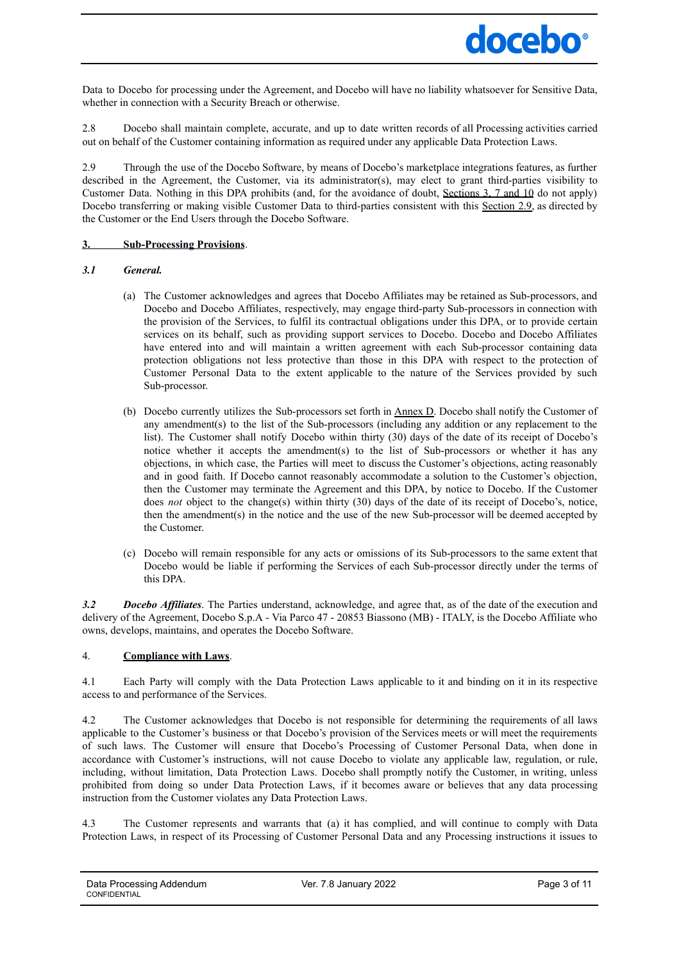

Data to Docebo for processing under the Agreement, and Docebo will have no liability whatsoever for Sensitive Data, whether in connection with a Security Breach or otherwise.

2.8 Docebo shall maintain complete, accurate, and up to date written records of all Processing activities carried out on behalf of the Customer containing information as required under any applicable Data Protection Laws.

2.9 Through the use of the Docebo Software, by means of Docebo's marketplace integrations features, as further described in the Agreement, the Customer, via its administrator(s), may elect to grant third-parties visibility to Customer Data. Nothing in this DPA prohibits (and, for the avoidance of doubt, Sections 3, 7 and 10 do not apply) Docebo transferring or making visible Customer Data to third-parties consistent with this Section 2.9, as directed by the Customer or the End Users through the Docebo Software.

## **3. Sub-Processing Provisions**.

## *3.1 General.*

- (a) The Customer acknowledges and agrees that Docebo Affiliates may be retained as Sub-processors, and Docebo and Docebo Affiliates, respectively, may engage third-party Sub-processors in connection with the provision of the Services, to fulfil its contractual obligations under this DPA, or to provide certain services on its behalf, such as providing support services to Docebo. Docebo and Docebo Affiliates have entered into and will maintain a written agreement with each Sub-processor containing data protection obligations not less protective than those in this DPA with respect to the protection of Customer Personal Data to the extent applicable to the nature of the Services provided by such Sub-processor.
- (b) Docebo currently utilizes the Sub-processors set forth in Annex D. Docebo shall notify the Customer of any amendment(s) to the list of the Sub-processors (including any addition or any replacement to the list). The Customer shall notify Docebo within thirty (30) days of the date of its receipt of Docebo's notice whether it accepts the amendment(s) to the list of Sub-processors or whether it has any objections, in which case, the Parties will meet to discuss the Customer's objections, acting reasonably and in good faith. If Docebo cannot reasonably accommodate a solution to the Customer's objection, then the Customer may terminate the Agreement and this DPA, by notice to Docebo. If the Customer does *not* object to the change(s) within thirty (30) days of the date of its receipt of Docebo's, notice, then the amendment(s) in the notice and the use of the new Sub-processor will be deemed accepted by the Customer.
- (c) Docebo will remain responsible for any acts or omissions of its Sub-processors to the same extent that Docebo would be liable if performing the Services of each Sub-processor directly under the terms of this DPA.

*3.2 Docebo Af iliates*. The Parties understand, acknowledge, and agree that, as of the date of the execution and delivery of the Agreement, Docebo S.p.A - Via Parco 47 - 20853 Biassono (MB) - ITALY, is the Docebo Affiliate who owns, develops, maintains, and operates the Docebo Software.

## 4. **Compliance with Laws**.

4.1 Each Party will comply with the Data Protection Laws applicable to it and binding on it in its respective access to and performance of the Services.

4.2 The Customer acknowledges that Docebo is not responsible for determining the requirements of all laws applicable to the Customer's business or that Docebo's provision of the Services meets or will meet the requirements of such laws. The Customer will ensure that Docebo's Processing of Customer Personal Data, when done in accordance with Customer's instructions, will not cause Docebo to violate any applicable law, regulation, or rule, including, without limitation, Data Protection Laws. Docebo shall promptly notify the Customer, in writing, unless prohibited from doing so under Data Protection Laws, if it becomes aware or believes that any data processing instruction from the Customer violates any Data Protection Laws.

4.3 The Customer represents and warrants that (a) it has complied, and will continue to comply with Data Protection Laws, in respect of its Processing of Customer Personal Data and any Processing instructions it issues to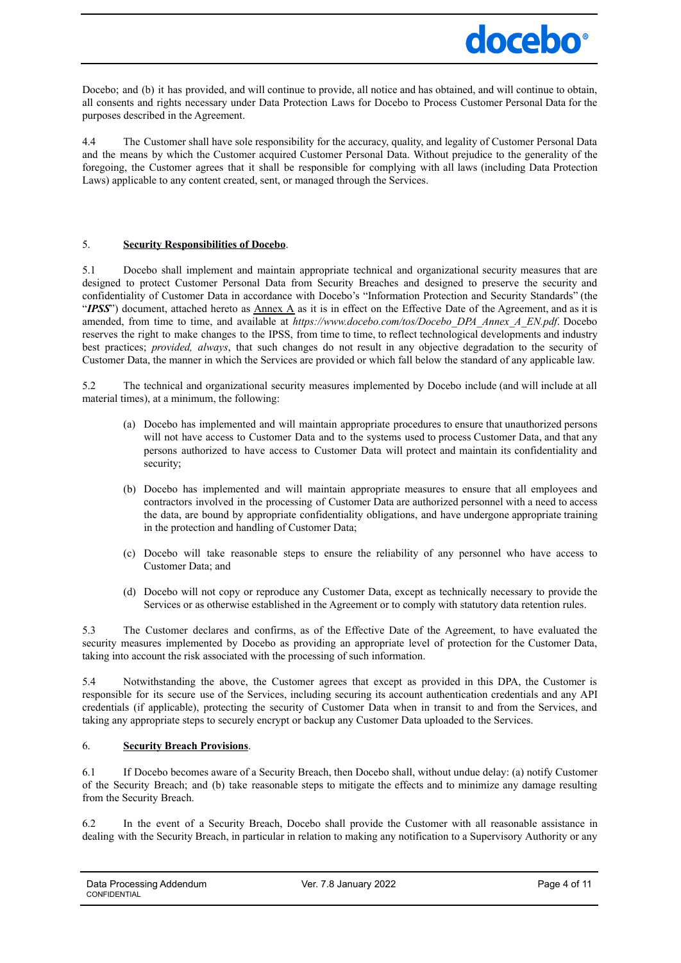

Docebo; and (b) it has provided, and will continue to provide, all notice and has obtained, and will continue to obtain, all consents and rights necessary under Data Protection Laws for Docebo to Process Customer Personal Data for the purposes described in the Agreement.

4.4 The Customer shall have sole responsibility for the accuracy, quality, and legality of Customer Personal Data and the means by which the Customer acquired Customer Personal Data. Without prejudice to the generality of the foregoing, the Customer agrees that it shall be responsible for complying with all laws (including Data Protection Laws) applicable to any content created, sent, or managed through the Services.

## 5. **Security Responsibilities of Docebo**.

5.1 Docebo shall implement and maintain appropriate technical and organizational security measures that are designed to protect Customer Personal Data from Security Breaches and designed to preserve the security and confidentiality of Customer Data in accordance with Docebo's "Information Protection and Security Standards" (the "**IPSS**") document, attached hereto as Annex A as it is in effect on the Effective Date of the Agreement, and as it is amended, from time to time, and available at *https://www.docebo.com/tos/Docebo\_DPA\_Annex\_A\_EN.pdf*. Docebo reserves the right to make changes to the IPSS, from time to time, to reflect technological developments and industry best practices; *provided, always*, that such changes do not result in any objective degradation to the security of Customer Data, the manner in which the Services are provided or which fall below the standard of any applicable law.

5.2 The technical and organizational security measures implemented by Docebo include (and will include at all material times), at a minimum, the following:

- (a) Docebo has implemented and will maintain appropriate procedures to ensure that unauthorized persons will not have access to Customer Data and to the systems used to process Customer Data, and that any persons authorized to have access to Customer Data will protect and maintain its confidentiality and security;
- (b) Docebo has implemented and will maintain appropriate measures to ensure that all employees and contractors involved in the processing of Customer Data are authorized personnel with a need to access the data, are bound by appropriate confidentiality obligations, and have undergone appropriate training in the protection and handling of Customer Data;
- (c) Docebo will take reasonable steps to ensure the reliability of any personnel who have access to Customer Data; and
- (d) Docebo will not copy or reproduce any Customer Data, except as technically necessary to provide the Services or as otherwise established in the Agreement or to comply with statutory data retention rules.

5.3 The Customer declares and confirms, as of the Effective Date of the Agreement, to have evaluated the security measures implemented by Docebo as providing an appropriate level of protection for the Customer Data, taking into account the risk associated with the processing of such information.

5.4 Notwithstanding the above, the Customer agrees that except as provided in this DPA, the Customer is responsible for its secure use of the Services, including securing its account authentication credentials and any API credentials (if applicable), protecting the security of Customer Data when in transit to and from the Services, and taking any appropriate steps to securely encrypt or backup any Customer Data uploaded to the Services.

## 6. **Security Breach Provisions**.

6.1 If Docebo becomes aware of a Security Breach, then Docebo shall, without undue delay: (a) notify Customer of the Security Breach; and (b) take reasonable steps to mitigate the effects and to minimize any damage resulting from the Security Breach.

6.2 In the event of a Security Breach, Docebo shall provide the Customer with all reasonable assistance in dealing with the Security Breach, in particular in relation to making any notification to a Supervisory Authority or any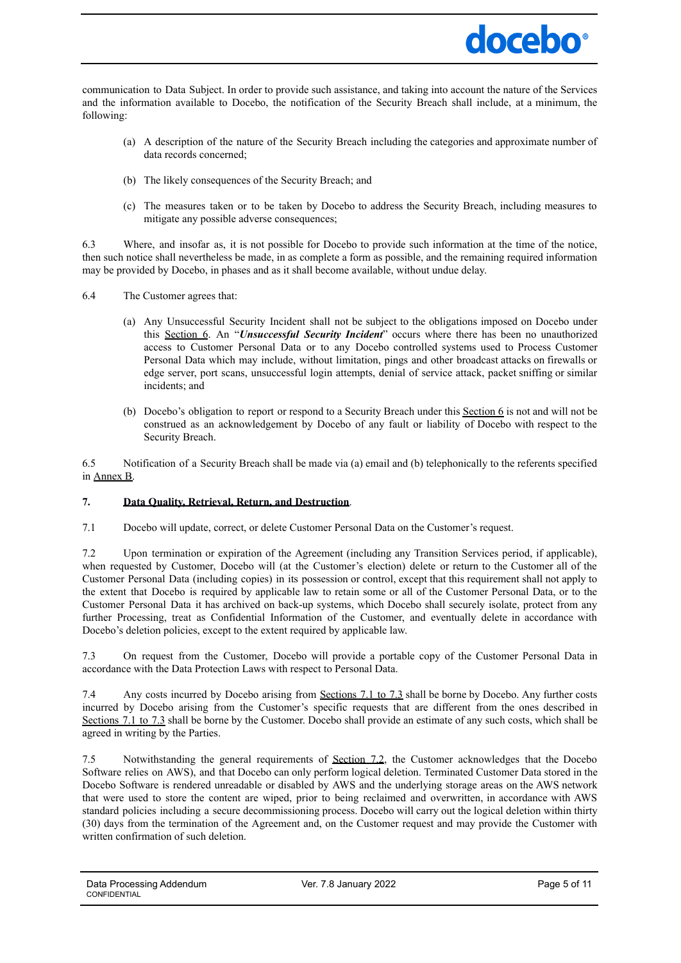

communication to Data Subject. In order to provide such assistance, and taking into account the nature of the Services and the information available to Docebo, the notification of the Security Breach shall include, at a minimum, the following:

- (a) A description of the nature of the Security Breach including the categories and approximate number of data records concerned;
- (b) The likely consequences of the Security Breach; and
- (c) The measures taken or to be taken by Docebo to address the Security Breach, including measures to mitigate any possible adverse consequences;

6.3 Where, and insofar as, it is not possible for Docebo to provide such information at the time of the notice, then such notice shall nevertheless be made, in as complete a form as possible, and the remaining required information may be provided by Docebo, in phases and as it shall become available, without undue delay.

- 6.4 The Customer agrees that:
	- (a) Any Unsuccessful Security Incident shall not be subject to the obligations imposed on Docebo under this Section 6. An "*Unsuccessful Security Incident*" occurs where there has been no unauthorized access to Customer Personal Data or to any Docebo controlled systems used to Process Customer Personal Data which may include, without limitation, pings and other broadcast attacks on firewalls or edge server, port scans, unsuccessful login attempts, denial of service attack, packet sniffing or similar incidents; and
	- (b) Docebo's obligation to report or respond to a Security Breach under this Section 6 is not and will not be construed as an acknowledgement by Docebo of any fault or liability of Docebo with respect to the Security Breach.

6.5 Notification of a Security Breach shall be made via (a) email and (b) telephonically to the referents specified in Annex B.

## **7. Data Quality, Retrieval, Return, and Destruction**.

7.1 Docebo will update, correct, or delete Customer Personal Data on the Customer's request.

7.2 Upon termination or expiration of the Agreement (including any Transition Services period, if applicable), when requested by Customer, Docebo will (at the Customer's election) delete or return to the Customer all of the Customer Personal Data (including copies) in its possession or control, except that this requirement shall not apply to the extent that Docebo is required by applicable law to retain some or all of the Customer Personal Data, or to the Customer Personal Data it has archived on back-up systems, which Docebo shall securely isolate, protect from any further Processing, treat as Confidential Information of the Customer, and eventually delete in accordance with Docebo's deletion policies, except to the extent required by applicable law.

7.3 On request from the Customer, Docebo will provide a portable copy of the Customer Personal Data in accordance with the Data Protection Laws with respect to Personal Data.

7.4 Any costs incurred by Docebo arising from Sections 7.1 to 7.3 shall be borne by Docebo. Any further costs incurred by Docebo arising from the Customer's specific requests that are different from the ones described in Sections 7.1 to 7.3 shall be borne by the Customer. Docebo shall provide an estimate of any such costs, which shall be agreed in writing by the Parties.

7.5 Notwithstanding the general requirements of Section 7.2, the Customer acknowledges that the Docebo Software relies on AWS), and that Docebo can only perform logical deletion. Terminated Customer Data stored in the Docebo Software is rendered unreadable or disabled by AWS and the underlying storage areas on the AWS network that were used to store the content are wiped, prior to being reclaimed and overwritten, in accordance with AWS standard policies including a secure decommissioning process. Docebo will carry out the logical deletion within thirty (30) days from the termination of the Agreement and, on the Customer request and may provide the Customer with written confirmation of such deletion.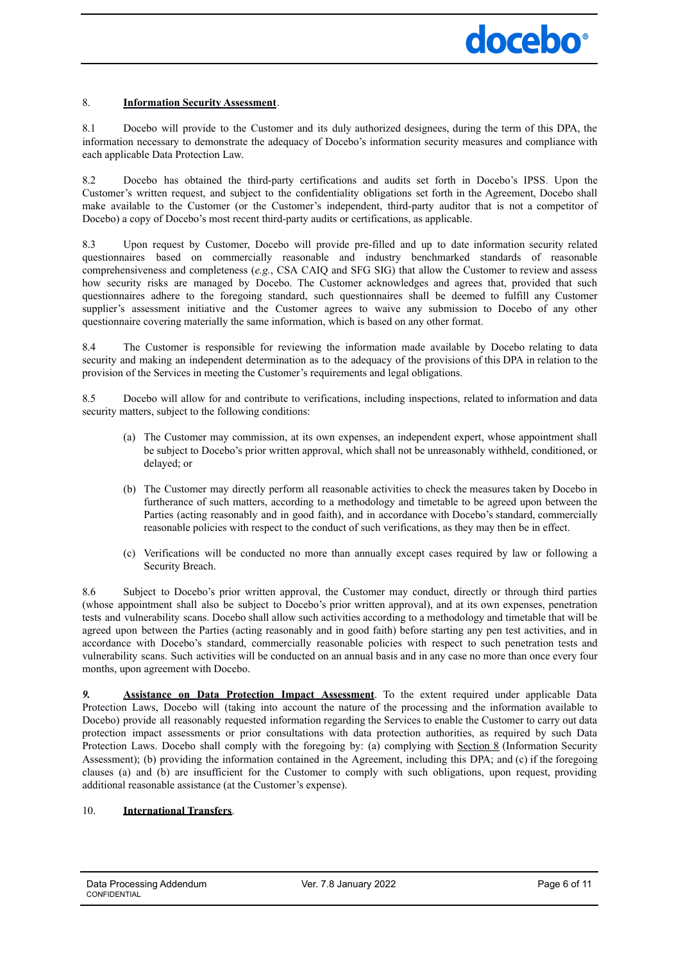## 8. **Information Security Assessment**.

8.1 Docebo will provide to the Customer and its duly authorized designees, during the term of this DPA, the information necessary to demonstrate the adequacy of Docebo's information security measures and compliance with each applicable Data Protection Law.

8.2 Docebo has obtained the third-party certifications and audits set forth in Docebo's IPSS. Upon the Customer's written request, and subject to the confidentiality obligations set forth in the Agreement, Docebo shall make available to the Customer (or the Customer's independent, third-party auditor that is not a competitor of Docebo) a copy of Docebo's most recent third-party audits or certifications, as applicable.

8.3 Upon request by Customer, Docebo will provide pre-filled and up to date information security related questionnaires based on commercially reasonable and industry benchmarked standards of reasonable comprehensiveness and completeness (*e.g.*, CSA CAIQ and SFG SIG) that allow the Customer to review and assess how security risks are managed by Docebo. The Customer acknowledges and agrees that, provided that such questionnaires adhere to the foregoing standard, such questionnaires shall be deemed to fulfill any Customer supplier's assessment initiative and the Customer agrees to waive any submission to Docebo of any other questionnaire covering materially the same information, which is based on any other format.

8.4 The Customer is responsible for reviewing the information made available by Docebo relating to data security and making an independent determination as to the adequacy of the provisions of this DPA in relation to the provision of the Services in meeting the Customer's requirements and legal obligations.

8.5 Docebo will allow for and contribute to verifications, including inspections, related to information and data security matters, subject to the following conditions:

- (a) The Customer may commission, at its own expenses, an independent expert, whose appointment shall be subject to Docebo's prior written approval, which shall not be unreasonably withheld, conditioned, or delayed; or
- (b) The Customer may directly perform all reasonable activities to check the measures taken by Docebo in furtherance of such matters, according to a methodology and timetable to be agreed upon between the Parties (acting reasonably and in good faith), and in accordance with Docebo's standard, commercially reasonable policies with respect to the conduct of such verifications, as they may then be in effect.
- (c) Verifications will be conducted no more than annually except cases required by law or following a Security Breach.

8.6 Subject to Docebo's prior written approval, the Customer may conduct, directly or through third parties (whose appointment shall also be subject to Docebo's prior written approval), and at its own expenses, penetration tests and vulnerability scans. Docebo shall allow such activities according to a methodology and timetable that will be agreed upon between the Parties (acting reasonably and in good faith) before starting any pen test activities, and in accordance with Docebo's standard, commercially reasonable policies with respect to such penetration tests and vulnerability scans. Such activities will be conducted on an annual basis and in any case no more than once every four months, upon agreement with Docebo.

*9.* **Assistance on Data Protection Impact Assessment**. To the extent required under applicable Data Protection Laws, Docebo will (taking into account the nature of the processing and the information available to Docebo) provide all reasonably requested information regarding the Services to enable the Customer to carry out data protection impact assessments or prior consultations with data protection authorities, as required by such Data Protection Laws. Docebo shall comply with the foregoing by: (a) complying with Section 8 (Information Security Assessment); (b) providing the information contained in the Agreement, including this DPA; and (c) if the foregoing clauses (a) and (b) are insufficient for the Customer to comply with such obligations, upon request, providing additional reasonable assistance (at the Customer's expense).

## 10. **International Transfers**.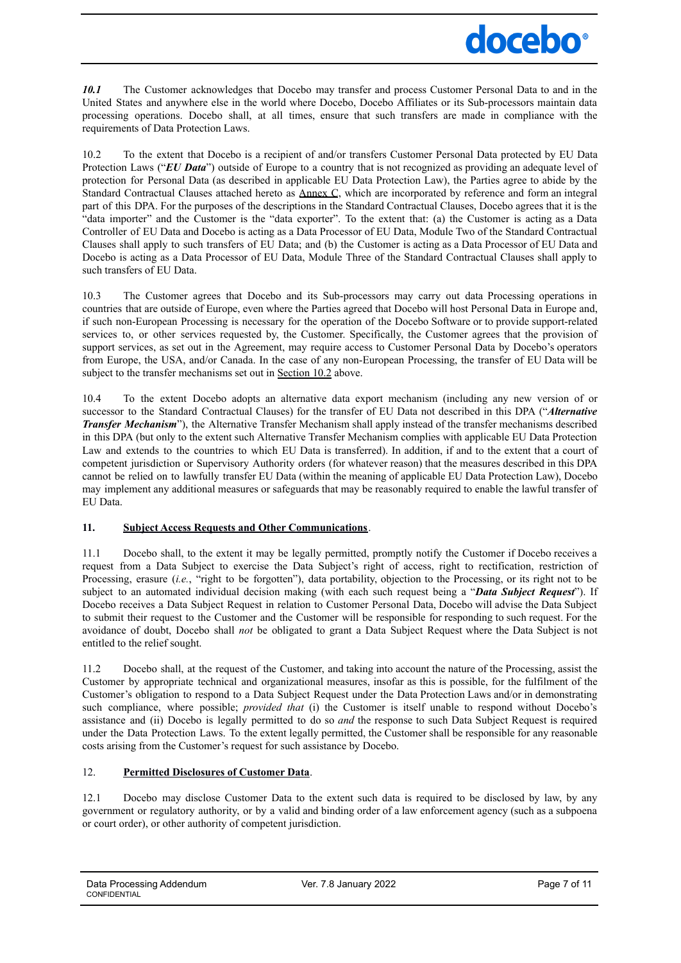# docebo<sup>®</sup>

*10.1* The Customer acknowledges that Docebo may transfer and process Customer Personal Data to and in the United States and anywhere else in the world where Docebo, Docebo Affiliates or its Sub-processors maintain data processing operations. Docebo shall, at all times, ensure that such transfers are made in compliance with the requirements of Data Protection Laws.

10.2 To the extent that Docebo is a recipient of and/or transfers Customer Personal Data protected by EU Data Protection Laws ("*EU Data*") outside of Europe to a country that is not recognized as providing an adequate level of protection for Personal Data (as described in applicable EU Data Protection Law), the Parties agree to abide by the Standard Contractual Clauses attached hereto as **Annex C**, which are incorporated by reference and form an integral part of this DPA. For the purposes of the descriptions in the Standard Contractual Clauses, Docebo agrees that it is the "data importer" and the Customer is the "data exporter". To the extent that: (a) the Customer is acting as a Data Controller of EU Data and Docebo is acting as a Data Processor of EU Data, Module Two of the Standard Contractual Clauses shall apply to such transfers of EU Data; and (b) the Customer is acting as a Data Processor of EU Data and Docebo is acting as a Data Processor of EU Data, Module Three of the Standard Contractual Clauses shall apply to such transfers of EU Data.

10.3 The Customer agrees that Docebo and its Sub-processors may carry out data Processing operations in countries that are outside of Europe, even where the Parties agreed that Docebo will host Personal Data in Europe and, if such non-European Processing is necessary for the operation of the Docebo Software or to provide support-related services to, or other services requested by, the Customer. Specifically, the Customer agrees that the provision of support services, as set out in the Agreement, may require access to Customer Personal Data by Docebo's operators from Europe, the USA, and/or Canada. In the case of any non-European Processing, the transfer of EU Data will be subject to the transfer mechanisms set out in Section 10.2 above.

10.4 To the extent Docebo adopts an alternative data export mechanism (including any new version of or successor to the Standard Contractual Clauses) for the transfer of EU Data not described in this DPA ("*Alternative Transfer Mechanism*"), the Alternative Transfer Mechanism shall apply instead of the transfer mechanisms described in this DPA (but only to the extent such Alternative Transfer Mechanism complies with applicable EU Data Protection Law and extends to the countries to which EU Data is transferred). In addition, if and to the extent that a court of competent jurisdiction or Supervisory Authority orders (for whatever reason) that the measures described in this DPA cannot be relied on to lawfully transfer EU Data (within the meaning of applicable EU Data Protection Law), Docebo may implement any additional measures or safeguards that may be reasonably required to enable the lawful transfer of EU Data.

## **11. Subject Access Requests and Other Communications**.

11.1 Docebo shall, to the extent it may be legally permitted, promptly notify the Customer if Docebo receives a request from a Data Subject to exercise the Data Subject's right of access, right to rectification, restriction of Processing, erasure (*i.e.*, "right to be forgotten"), data portability, objection to the Processing, or its right not to be subject to an automated individual decision making (with each such request being a "*Data Subject Request*"). If Docebo receives a Data Subject Request in relation to Customer Personal Data, Docebo will advise the Data Subject to submit their request to the Customer and the Customer will be responsible for responding to such request. For the avoidance of doubt, Docebo shall *not* be obligated to grant a Data Subject Request where the Data Subject is not entitled to the relief sought.

11.2 Docebo shall, at the request of the Customer, and taking into account the nature of the Processing, assist the Customer by appropriate technical and organizational measures, insofar as this is possible, for the fulfilment of the Customer's obligation to respond to a Data Subject Request under the Data Protection Laws and/or in demonstrating such compliance, where possible; *provided that* (i) the Customer is itself unable to respond without Docebo's assistance and (ii) Docebo is legally permitted to do so *and* the response to such Data Subject Request is required under the Data Protection Laws. To the extent legally permitted, the Customer shall be responsible for any reasonable costs arising from the Customer's request for such assistance by Docebo.

## 12. **Permitted Disclosures of Customer Data**.

12.1 Docebo may disclose Customer Data to the extent such data is required to be disclosed by law, by any government or regulatory authority, or by a valid and binding order of a law enforcement agency (such as a subpoena or court order), or other authority of competent jurisdiction.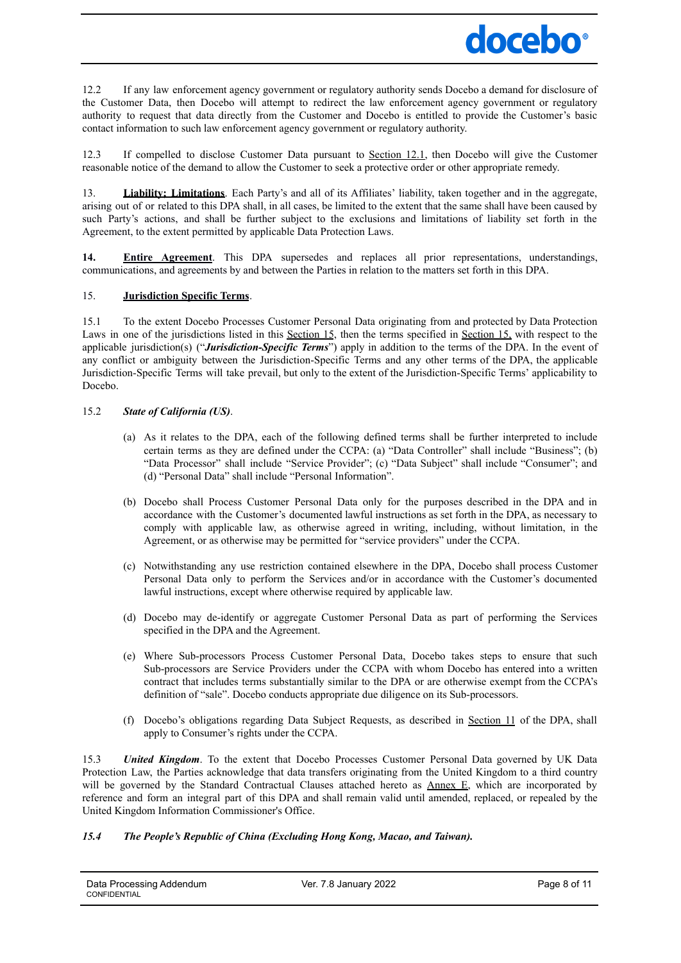

12.2 If any law enforcement agency government or regulatory authority sends Docebo a demand for disclosure of the Customer Data, then Docebo will attempt to redirect the law enforcement agency government or regulatory authority to request that data directly from the Customer and Docebo is entitled to provide the Customer's basic contact information to such law enforcement agency government or regulatory authority.

12.3 If compelled to disclose Customer Data pursuant to Section 12.1, then Docebo will give the Customer reasonable notice of the demand to allow the Customer to seek a protective order or other appropriate remedy.

13. **Liability; Limitations**. Each Party's and all of its Affiliates' liability, taken together and in the aggregate, arising out of or related to this DPA shall, in all cases, be limited to the extent that the same shall have been caused by such Party's actions, and shall be further subject to the exclusions and limitations of liability set forth in the Agreement, to the extent permitted by applicable Data Protection Laws.

**14. Entire Agreement**. This DPA supersedes and replaces all prior representations, understandings, communications, and agreements by and between the Parties in relation to the matters set forth in this DPA.

## 15. **Jurisdiction Specific Terms**.

15.1 To the extent Docebo Processes Customer Personal Data originating from and protected by Data Protection Laws in one of the jurisdictions listed in this Section 15, then the terms specified in Section 15, with respect to the applicable jurisdiction(s) ("*Jurisdiction-Specific Terms*") apply in addition to the terms of the DPA. In the event of any conflict or ambiguity between the Jurisdiction-Specific Terms and any other terms of the DPA, the applicable Jurisdiction-Specific Terms will take prevail, but only to the extent of the Jurisdiction-Specific Terms' applicability to Docebo.

#### 15.2 *State of California (US)*.

- (a) As it relates to the DPA, each of the following defined terms shall be further interpreted to include certain terms as they are defined under the CCPA: (a) "Data Controller" shall include "Business"; (b) "Data Processor" shall include "Service Provider"; (c) "Data Subject" shall include "Consumer"; and (d) "Personal Data" shall include "Personal Information".
- (b) Docebo shall Process Customer Personal Data only for the purposes described in the DPA and in accordance with the Customer's documented lawful instructions as set forth in the DPA, as necessary to comply with applicable law, as otherwise agreed in writing, including, without limitation, in the Agreement, or as otherwise may be permitted for "service providers" under the CCPA.
- (c) Notwithstanding any use restriction contained elsewhere in the DPA, Docebo shall process Customer Personal Data only to perform the Services and/or in accordance with the Customer's documented lawful instructions, except where otherwise required by applicable law.
- (d) Docebo may de-identify or aggregate Customer Personal Data as part of performing the Services specified in the DPA and the Agreement.
- (e) Where Sub-processors Process Customer Personal Data, Docebo takes steps to ensure that such Sub-processors are Service Providers under the CCPA with whom Docebo has entered into a written contract that includes terms substantially similar to the DPA or are otherwise exempt from the CCPA's definition of "sale". Docebo conducts appropriate due diligence on its Sub-processors.
- (f) Docebo's obligations regarding Data Subject Requests, as described in Section 11 of the DPA, shall apply to Consumer's rights under the CCPA.

15.3 *United Kingdom*. To the extent that Docebo Processes Customer Personal Data governed by UK Data Protection Law, the Parties acknowledge that data transfers originating from the United Kingdom to a third country will be governed by the Standard Contractual Clauses attached hereto as Annex E, which are incorporated by reference and form an integral part of this DPA and shall remain valid until amended, replaced, or repealed by the United Kingdom Information Commissioner's Office.

## *15.4 The People's Republic of China (Excluding Hong Kong, Macao, and Taiwan).*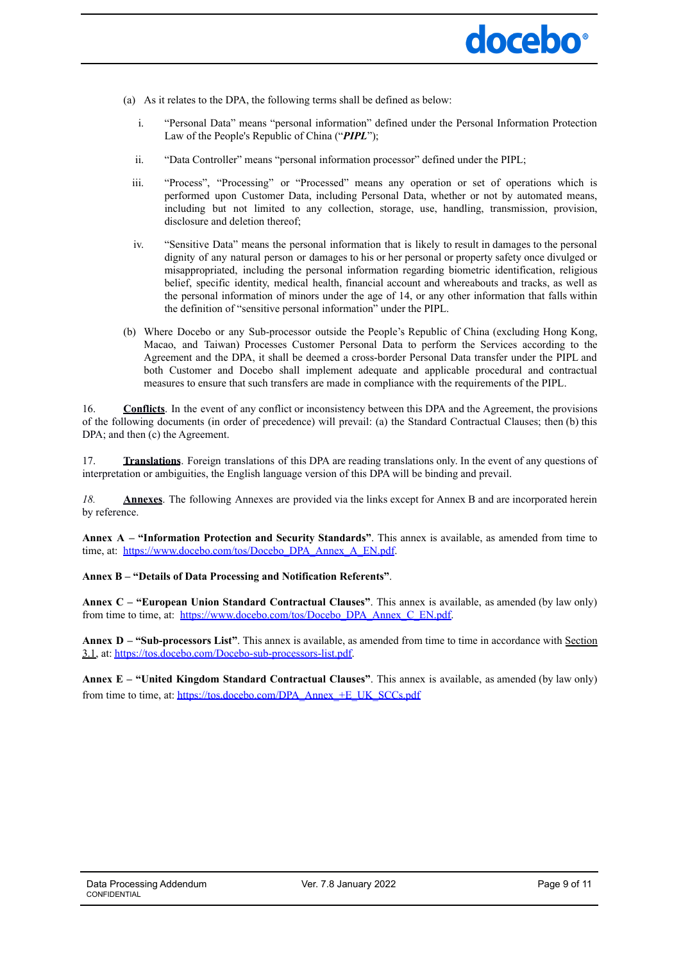

- (a) As it relates to the DPA, the following terms shall be defined as below:
	- i. "Personal Data" means "personal information" defined under the Personal Information Protection Law of the People's Republic of China ("*PIPL*");
	- ii. "Data Controller" means "personal information processor" defined under the PIPL;
	- iii. "Process", "Processing" or "Processed" means any operation or set of operations which is performed upon Customer Data, including Personal Data, whether or not by automated means, including but not limited to any collection, storage, use, handling, transmission, provision, disclosure and deletion thereof;
	- iv. "Sensitive Data" means the personal information that is likely to result in damages to the personal dignity of any natural person or damages to his or her personal or property safety once divulged or misappropriated, including the personal information regarding biometric identification, religious belief, specific identity, medical health, financial account and whereabouts and tracks, as well as the personal information of minors under the age of 14, or any other information that falls within the definition of "sensitive personal information" under the PIPL.
- (b) Where Docebo or any Sub-processor outside the People's Republic of China (excluding Hong Kong, Macao, and Taiwan) Processes Customer Personal Data to perform the Services according to the Agreement and the DPA, it shall be deemed a cross-border Personal Data transfer under the PIPL and both Customer and Docebo shall implement adequate and applicable procedural and contractual measures to ensure that such transfers are made in compliance with the requirements of the PIPL.

16. **Conflicts**. In the event of any conflict or inconsistency between this DPA and the Agreement, the provisions of the following documents (in order of precedence) will prevail: (a) the Standard Contractual Clauses; then (b) this DPA; and then  $(c)$  the Agreement.

17. **Translations**. Foreign translations of this DPA are reading translations only. In the event of any questions of interpretation or ambiguities, the English language version of this DPA will be binding and prevail.

*18.* **Annexes**. The following Annexes are provided via the links except for Annex B and are incorporated herein by reference.

**Annex A – "Information Protection and Security Standards"**. This annex is available, as amended from time to time, at: [https://www.docebo.com/tos/Docebo\\_DPA\\_Annex\\_A\\_EN.pdf](https://www.docebo.com/tos/Docebo_DPA_Annex_A_EN.pdf).

## **Annex B – "Details of Data Processing and Notification Referents"**.

**Annex C – "European Union Standard Contractual Clauses"**. This annex is available, as amended (by law only) from time to time, at: [https://www.docebo.com/tos/Docebo\\_DPA\\_Annex\\_C\\_EN.pdf.](https://www.docebo.com/tos/Docebo_DPA_Annex_C_EN.pdf)

**Annex D – "Sub-processors List"**. This annex is available, as amended from time to time in accordance with Section 3.1, at: [https://tos.docebo.com/Docebo-sub-processors-list.pdf.](https://tos.docebo.com/Docebo-sub-processors-list.pdf)

**Annex E – "United Kingdom Standard Contractual Clauses"**. This annex is available, as amended (by law only) from time to time, at: [https://tos.docebo.com/DPA\\_Annex\\_+E\\_UK\\_SCCs.pdf](https://tos.docebo.com/DPA_Annex_+E_UK_SCCs.pdf)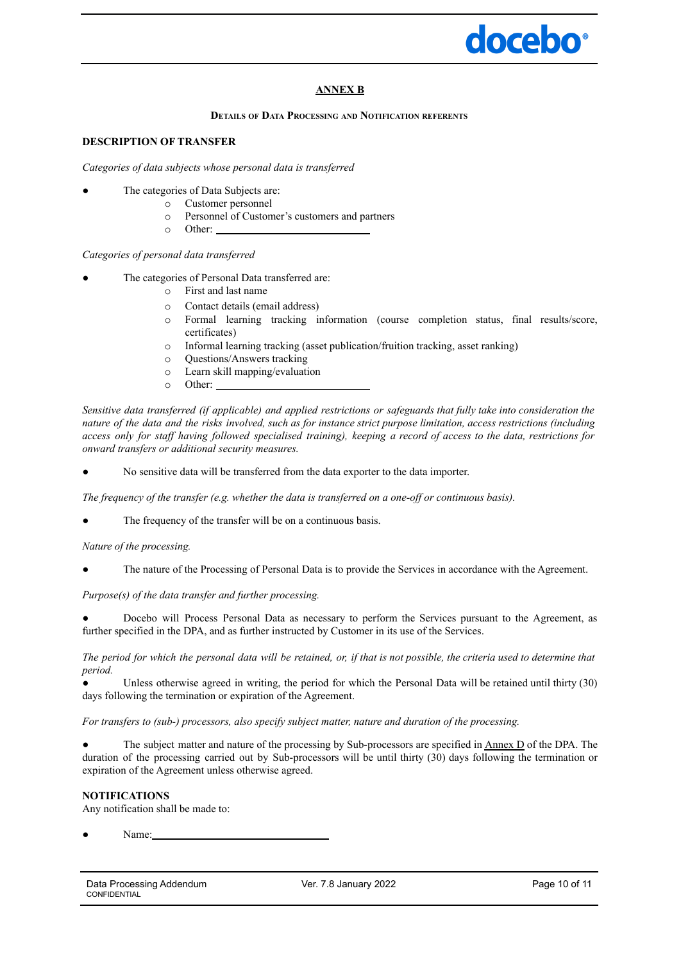

## **ANNEX B**

#### **DETAILS OF DATA PROCESSING AND NOTIFICATION REFERENTS**

## **DESCRIPTION OF TRANSFER**

*Categories of data subjects whose personal data is transferred*

- The categories of Data Subjects are:
	- o Customer personnel
		- Personnel of Customer's customers and partners
	- o Other:

## *Categories of personal data transferred*

- The categories of Personal Data transferred are:
	- o First and last name
	- o Contact details (email address)<br>
	o Formal learning tracking in
	- Formal learning tracking information (course completion status, final results/score, certificates)
	- o Informal learning tracking (asset publication/fruition tracking, asset ranking)
		-
	- o Questions/Answers tracking Learn skill mapping/evaluation
	- o Other:

Sensitive data transferred (if applicable) and applied restrictions or safeguards that fully take into consideration the nature of the data and the risks involved, such as for instance strict purpose limitation, access restrictions (including access only for staff having followed specialised training), keeping a record of access to the data, restrictions for *onward transfers or additional security measures.*

No sensitive data will be transferred from the data exporter to the data importer.

*The frequency of the transfer (e.g. whether the data is transferred on a one-of or continuous basis).*

The frequency of the transfer will be on a continuous basis.

*Nature of the processing.*

The nature of the Processing of Personal Data is to provide the Services in accordance with the Agreement.

*Purpose(s) of the data transfer and further processing.*

Docebo will Process Personal Data as necessary to perform the Services pursuant to the Agreement, as further specified in the DPA, and as further instructed by Customer in its use of the Services.

The period for which the personal data will be retained, or, if that is not possible, the criteria used to determine that *period.*

Unless otherwise agreed in writing, the period for which the Personal Data will be retained until thirty (30) days following the termination or expiration of the Agreement.

*For transfers to (sub-) processors, also specify subject matter, nature and duration of the processing.*

The subject matter and nature of the processing by Sub-processors are specified in Annex D of the DPA. The duration of the processing carried out by Sub-processors will be until thirty (30) days following the termination or expiration of the Agreement unless otherwise agreed.

## **NOTIFICATIONS**

Any notification shall be made to:

Name<sup>.</sup>